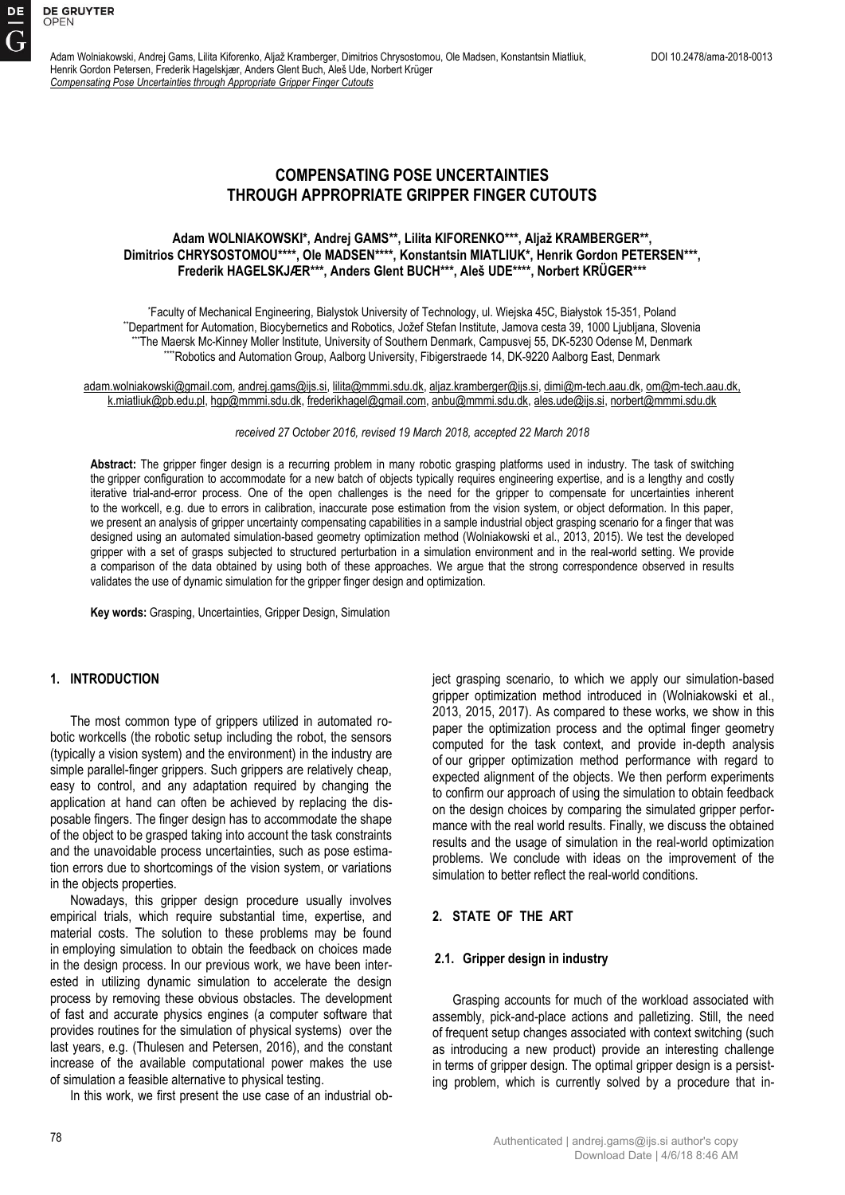Adam Wolniakowski, Andrej Gams, Lilita Kiforenko, Aljaž Kramberger, Dimitrios Chrysostomou, Ole Madsen, Konstantsin Miatliuk, DOI 10.2478/ama-2018-0013 Henrik Gordon Petersen, Frederik Hagelskjær, Anders Glent Buch, Aleš Ude, Norbert Krüger *Compensating Pose Uncertainties through Appropriate Gripper Finger Cutouts*

# **COMPENSATING POSE UNCERTAINTIES THROUGH APPROPRIATE GRIPPER FINGER CUTOUTS**

# **Adam WOLNIAKOWSKI\*, Andrej GAMS\*\*, Lilita KIFORENKO\*\*\*, Aljaž KRAMBERGER\*\*, Dimitrios CHRYSOSTOMOU\*\*\*\*, Ole MADSEN\*\*\*\*, Konstantsin MIATLIUK\*, Henrik Gordon PETERSEN\*\*\*, Frederik HAGELSKJÆR\*\*\*, Anders Glent BUCH\*\*\*, Aleš UDE\*\*\*\*, Norbert KRÜGER\*\*\***

\* Faculty of Mechanical Engineering, Bialystok University of Technology, ul. Wiejska 45C, Białystok 15-351, Poland \*\*Department for Automation, Biocybernetics and Robotics, Jožef Stefan Institute, Jamova cesta 39, 1000 Ljubljana, Slovenia The Maersk Mc-Kinney Moller Institute, University of Southern Denmark, Campusvej 55, DK-5230 Odense M, Denmark \*\*\*\*Robotics and Automation Group, Aalborg University, Fibigerstraede 14, DK-9220 Aalborg East, Denmark

adam.wolniakowski@gmail.com, andrej.gams@ijs.si, lilita@mmmi.sdu.dk, aljaz.kramberger@ijs.si, dimi@m-tech.aau.dk, om@m-tech.aau.dk, k.miatliuk@pb.edu.pl, hgp@mmmi.sdu.dk, frederikhagel@gmail.com, anbu@mmmi.sdu.dk, ales.ude@ijs.si[, norbert@mmmi.sdu.dk](mailto:norbert@mmmi.sdu.dk)

### *received 27 October 2016, revised 19 March 2018, accepted 22 March 2018*

**Abstract:** The gripper finger design is a recurring problem in many robotic grasping platforms used in industry. The task of switching the gripper configuration to accommodate for a new batch of objects typically requires engineering expertise, and is a lengthy and costly iterative trial-and-error process. One of the open challenges is the need for the gripper to compensate for uncertainties inherent to the workcell, e.g. due to errors in calibration, inaccurate pose estimation from the vision system, or object deformation. In this paper, we present an analysis of gripper uncertainty compensating capabilities in a sample industrial object grasping scenario for a finger that was designed using an automated simulation-based geometry optimization method (Wolniakowski et al., 2013, 2015). We test the developed gripper with a set of grasps subjected to structured perturbation in a simulation environment and in the real-world setting. We provide a comparison of the data obtained by using both of these approaches. We argue that the strong correspondence observed in results validates the use of dynamic simulation for the gripper finger design and optimization.

**Key words:** Grasping, Uncertainties, Gripper Design, Simulation

# **1. INTRODUCTION**

The most common type of grippers utilized in automated robotic workcells (the robotic setup including the robot, the sensors (typically a vision system) and the environment) in the industry are simple parallel-finger grippers. Such grippers are relatively cheap, easy to control, and any adaptation required by changing the application at hand can often be achieved by replacing the disposable fingers. The finger design has to accommodate the shape of the object to be grasped taking into account the task constraints and the unavoidable process uncertainties, such as pose estimation errors due to shortcomings of the vision system, or variations in the objects properties.

Nowadays, this gripper design procedure usually involves empirical trials, which require substantial time, expertise, and material costs. The solution to these problems may be found in employing simulation to obtain the feedback on choices made in the design process. In our previous work, we have been interested in utilizing dynamic simulation to accelerate the design process by removing these obvious obstacles. The development of fast and accurate physics engines (a computer software that provides routines for the simulation of physical systems) over the last years, e.g. (Thulesen and Petersen, 2016), and the constant increase of the available computational power makes the use of simulation a feasible alternative to physical testing.

In this work, we first present the use case of an industrial ob-

ject grasping scenario, to which we apply our simulation-based gripper optimization method introduced in (Wolniakowski et al., 2013, 2015, 2017). As compared to these works, we show in this paper the optimization process and the optimal finger geometry computed for the task context, and provide in-depth analysis of our gripper optimization method performance with regard to expected alignment of the objects. We then perform experiments to confirm our approach of using the simulation to obtain feedback on the design choices by comparing the simulated gripper performance with the real world results. Finally, we discuss the obtained results and the usage of simulation in the real-world optimization problems. We conclude with ideas on the improvement of the simulation to better reflect the real-world conditions.

# **2. STATE OF THE ART**

#### **2.1. Gripper design in industry**

Grasping accounts for much of the workload associated with assembly, pick-and-place actions and palletizing. Still, the need of frequent setup changes associated with context switching (such as introducing a new product) provide an interesting challenge in terms of gripper design. The optimal gripper design is a persisting problem, which is currently solved by a procedure that in-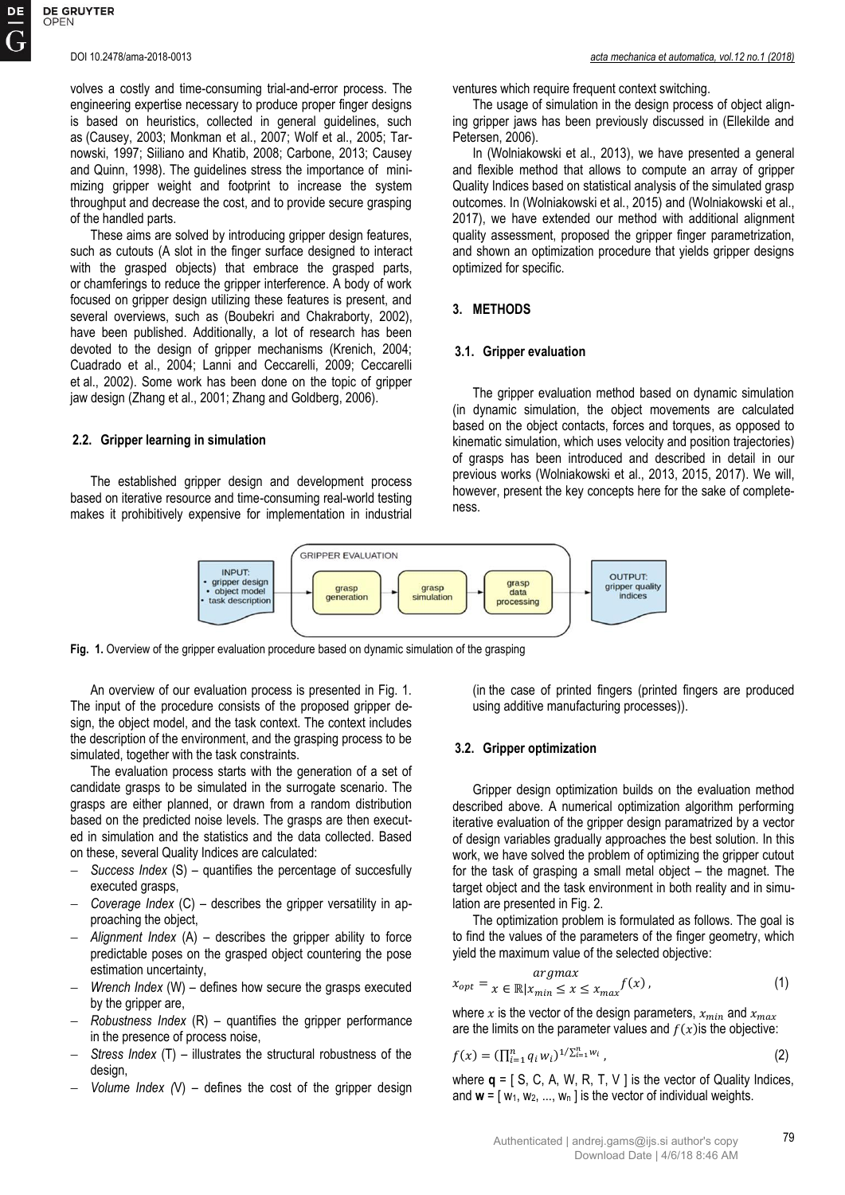volves a costly and time-consuming trial-and-error process. The engineering expertise necessary to produce proper finger designs is based on heuristics, collected in general guidelines, such as (Causey, 2003; Monkman et al., 2007; Wolf et al., 2005; Tarnowski, 1997; Siiliano and Khatib, 2008; Carbone, 2013; Causey and Quinn, 1998). The guidelines stress the importance of minimizing gripper weight and footprint to increase the system throughput and decrease the cost, and to provide secure grasping of the handled parts.

These aims are solved by introducing gripper design features, such as cutouts (A slot in the finger surface designed to interact with the grasped objects) that embrace the grasped parts, or chamferings to reduce the gripper interference. A body of work focused on gripper design utilizing these features is present, and several overviews, such as (Boubekri and Chakraborty, 2002), have been published. Additionally, a lot of research has been devoted to the design of gripper mechanisms (Krenich, 2004; Cuadrado et al., 2004; Lanni and Ceccarelli, 2009; Ceccarelli et al., 2002). Some work has been done on the topic of gripper jaw design (Zhang et al., 2001; Zhang and Goldberg, 2006).

### **2.2. Gripper learning in simulation**

The established gripper design and development process based on iterative resource and time-consuming real-world testing makes it prohibitively expensive for implementation in industrial ventures which require frequent context switching.

The usage of simulation in the design process of object aligning gripper jaws has been previously discussed in (Ellekilde and Petersen, 2006).

In (Wolniakowski et al., 2013), we have presented a general and flexible method that allows to compute an array of gripper Quality Indices based on statistical analysis of the simulated grasp outcomes. In (Wolniakowski et al., 2015) and (Wolniakowski et al., 2017), we have extended our method with additional alignment quality assessment, proposed the gripper finger parametrization, and shown an optimization procedure that yields gripper designs optimized for specific.

## **3. METHODS**

#### **3.1. Gripper evaluation**

The gripper evaluation method based on dynamic simulation (in dynamic simulation, the object movements are calculated based on the object contacts, forces and torques, as opposed to kinematic simulation, which uses velocity and position trajectories) of grasps has been introduced and described in detail in our previous works (Wolniakowski et al., 2013, 2015, 2017). We will, however, present the key concepts here for the sake of completeness.



**Fig. 1.** Overview of the gripper evaluation procedure based on dynamic simulation of the grasping

An overview of our evaluation process is presented in Fig. 1. The input of the procedure consists of the proposed gripper design, the object model, and the task context. The context includes the description of the environment, and the grasping process to be simulated, together with the task constraints.

The evaluation process starts with the generation of a set of candidate grasps to be simulated in the surrogate scenario. The grasps are either planned, or drawn from a random distribution based on the predicted noise levels. The grasps are then executed in simulation and the statistics and the data collected. Based on these, several Quality Indices are calculated:

- *Success Index* (S) quantifies the percentage of succesfully executed grasps,
- *Coverage Index* (C) describes the gripper versatility in approaching the object,
- *Alignment Index* (A) describes the gripper ability to force predictable poses on the grasped object countering the pose estimation uncertainty,
- *Wrench Index* (W) defines how secure the grasps executed by the gripper are.
- *Robustness Index* (R) quantifies the gripper performance in the presence of process noise,
- *Stress Index* (T) illustrates the structural robustness of the design,
- *Volume Index (*V) defines the cost of the gripper design

(in the case of printed fingers (printed fingers are produced using additive manufacturing processes)).

#### **3.2. Gripper optimization**

Gripper design optimization builds on the evaluation method described above. A numerical optimization algorithm performing iterative evaluation of the gripper design paramatrized by a vector of design variables gradually approaches the best solution. In this work, we have solved the problem of optimizing the gripper cutout for the task of grasping a small metal object – the magnet. The target object and the task environment in both reality and in simulation are presented in Fig. 2.

The optimization problem is formulated as follows. The goal is to find the values of the parameters of the finger geometry, which yield the maximum value of the selected objective:

$$
x_{opt} = \underset{x \in \mathbb{R} \mid x_{min} \leq x \leq x_{max}}{\argmax} f(x), \tag{1}
$$

where x is the vector of the design parameters,  $x_{min}$  and  $x_{max}$ are the limits on the parameter values and  $f(x)$  is the objective:

$$
f(x) = (\prod_{i=1}^{n} q_i w_i)^{1/\sum_{i=1}^{n} w_i}, \qquad (2)
$$

where  $q = [ S, C, A, W, R, T, V ]$  is the vector of Quality Indices, and  $w = [w_1, w_2, ..., w_n]$  is the vector of individual weights.

79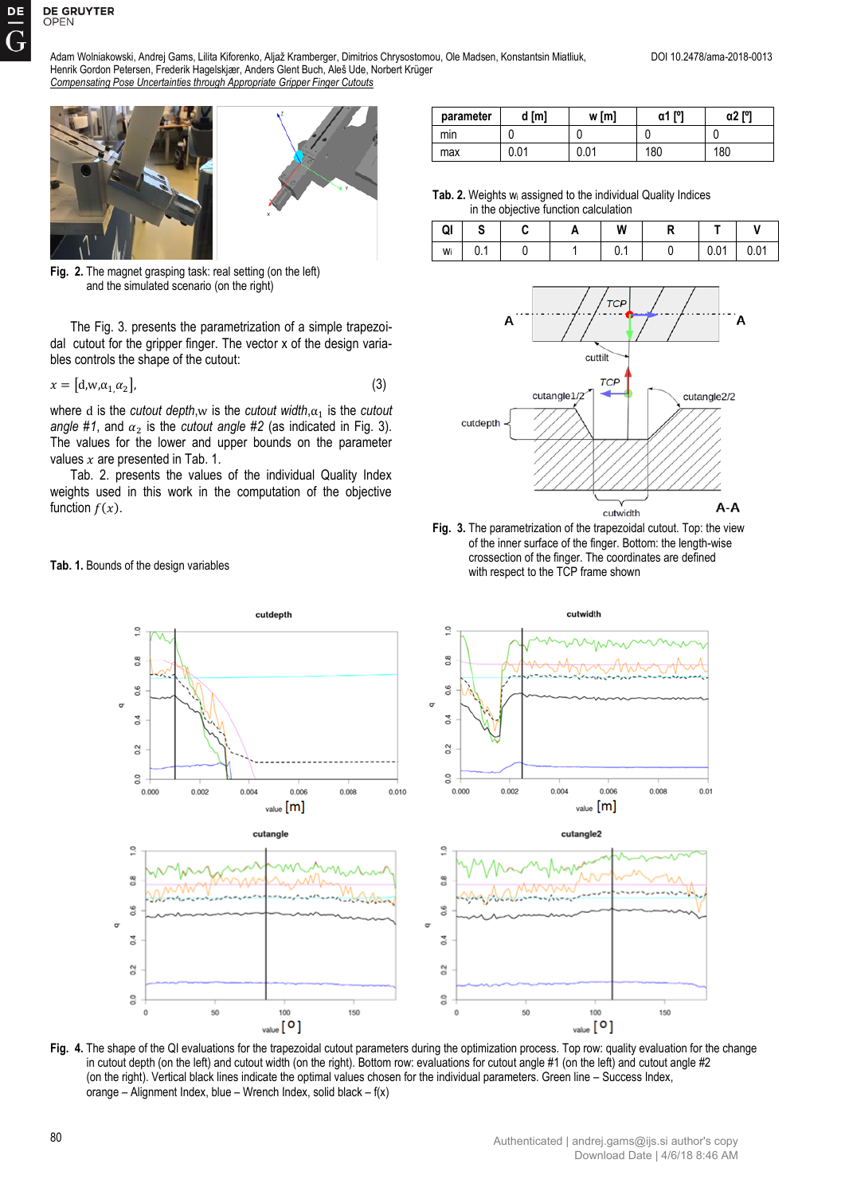Adam Wolniakowski, Andrej Gams, Lilita Kiforenko, Aljaž Kramberger, Dimitrios Chrysostomou, Ole Madsen, Konstantsin Miatliuk, DOI 10.2478/ama-2018-0013 Henrik Gordon Petersen, Frederik Hagelskjær, Anders Glent Buch, Aleš Ude, Norbert Krüger *Compensating Pose Uncertainties through Appropriate Gripper Finger Cutouts*





Fig. 2. The magnet grasping task: real setting (on the left) and the simulated scenario (on the right)

The Fig. 3. presents the parametrization of a simple trapezoidal cutout for the gripper finger. The vector x of the design variables controls the shape of the cutout:

$$
x = [d, w, \alpha_1, \alpha_2], \tag{3}
$$

where d is the *cutout depth*,w is the *cutout width*, $\alpha_1$  is the *cutout angle #1*, and  $\alpha_2$  is the *cutout angle #2* (as indicated in Fig. 3). The values for the lower and upper bounds on the parameter values  $x$  are presented in Tab. 1.

Tab. 2. presents the values of the individual Quality Index weights used in this work in the computation of the objective function  $f(x)$ .

## **Tab. 1.** Bounds of the design variables

| parameter | d [m] | w [m]         | <b>FOT</b><br>α1 | α2 [°] |
|-----------|-------|---------------|------------------|--------|
| mın       |       |               |                  |        |
| max       | 0.01  | ስ ስ1<br>v.v i | 180              | 180    |

**Tab. 2.** Weights wi assigned to the individual Quality Indices in the objective function calculation

| QI<br>$\mathbf{I}$ |     | u | W    | ., |      |      |
|--------------------|-----|---|------|----|------|------|
| Wi                 | 0.1 |   | υ. ι |    | 0.01 | 0.01 |



**Fig. 3.** The parametrization of the trapezoidal cutout. Top: the view of the inner surface of the finger. Bottom: the length-wise crossection of the finger. The coordinates are defined with respect to the TCP frame shown



**Fig. 4.** The shape of the QI evaluations for the trapezoidal cutout parameters during the optimization process. Top row: quality evaluation for the change in cutout depth (on the left) and cutout width (on the right). Bottom row: evaluations for cutout angle #1 (on the left) and cutout angle #2 (on the right). Vertical black lines indicate the optimal values chosen for the individual parameters. Green line – Success Index, orange – Alignment Index, blue – Wrench Index, solid black – f(x)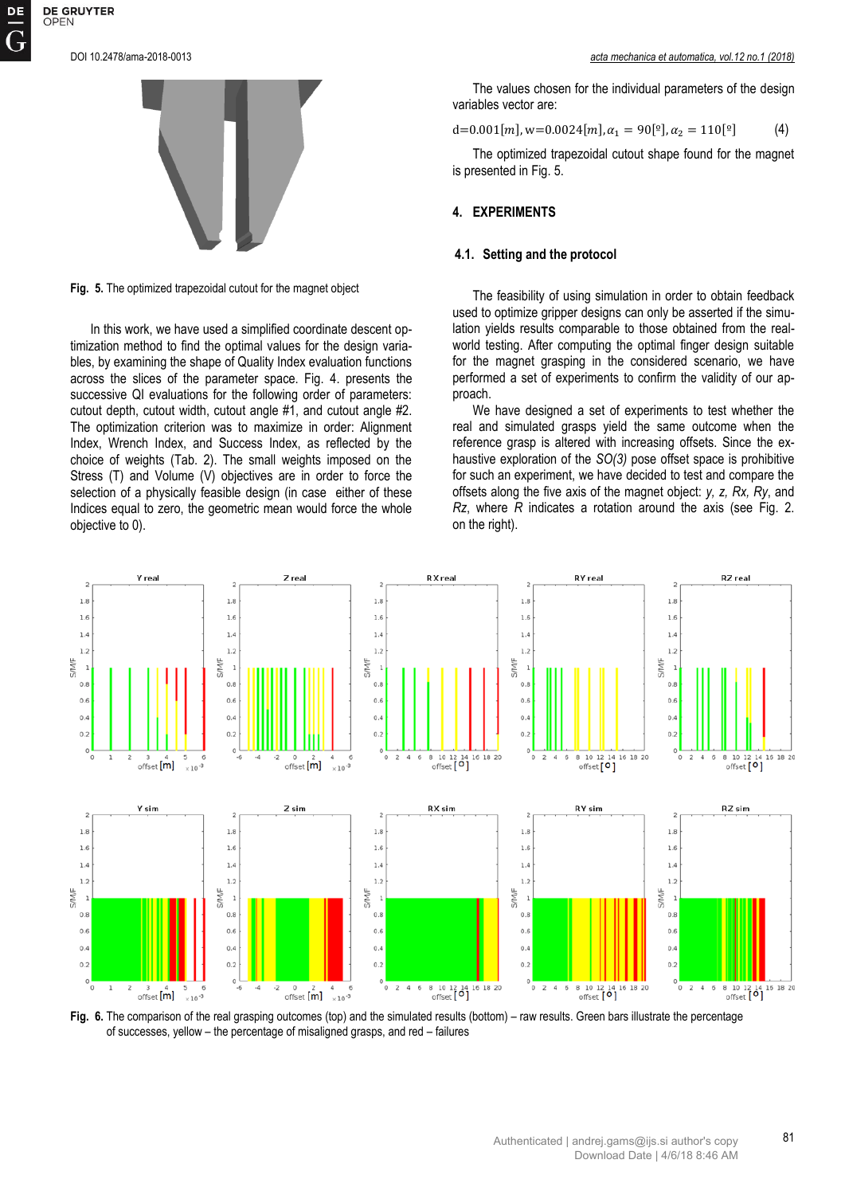

**Fig. 5.** The optimized trapezoidal cutout for the magnet object

In this work, we have used a simplified coordinate descent optimization method to find the optimal values for the design variables, by examining the shape of Quality Index evaluation functions across the slices of the parameter space. Fig. 4. presents the successive QI evaluations for the following order of parameters: cutout depth, cutout width, cutout angle #1, and cutout angle #2. The optimization criterion was to maximize in order: Alignment Index, Wrench Index, and Success Index, as reflected by the choice of weights (Tab. 2). The small weights imposed on the Stress (T) and Volume (V) objectives are in order to force the selection of a physically feasible design (in case either of these Indices equal to zero, the geometric mean would force the whole objective to 0).

The values chosen for the individual parameters of the design variables vector are:

$$
d=0.001[m], w=0.0024[m], \alpha_1 = 90[^{\circ}], \alpha_2 = 110[^{\circ}] \qquad (4)
$$

The optimized trapezoidal cutout shape found for the magnet is presented in Fig. 5.

# **4. EXPERIMENTS**

## **4.1. Setting and the protocol**

The feasibility of using simulation in order to obtain feedback used to optimize gripper designs can only be asserted if the simulation yields results comparable to those obtained from the realworld testing. After computing the optimal finger design suitable for the magnet grasping in the considered scenario, we have performed a set of experiments to confirm the validity of our approach.

We have designed a set of experiments to test whether the real and simulated grasps yield the same outcome when the reference grasp is altered with increasing offsets. Since the exhaustive exploration of the *SO(3)* pose offset space is prohibitive for such an experiment, we have decided to test and compare the offsets along the five axis of the magnet object: *y, z, Rx, Ry*, and *Rz*, where *R* indicates a rotation around the axis (see Fig. 2. on the right).



**Fig. 6.** The comparison of the real grasping outcomes (top) and the simulated results (bottom) – raw results. Green bars illustrate the percentage of successes, yellow – the percentage of misaligned grasps, and red – failures

81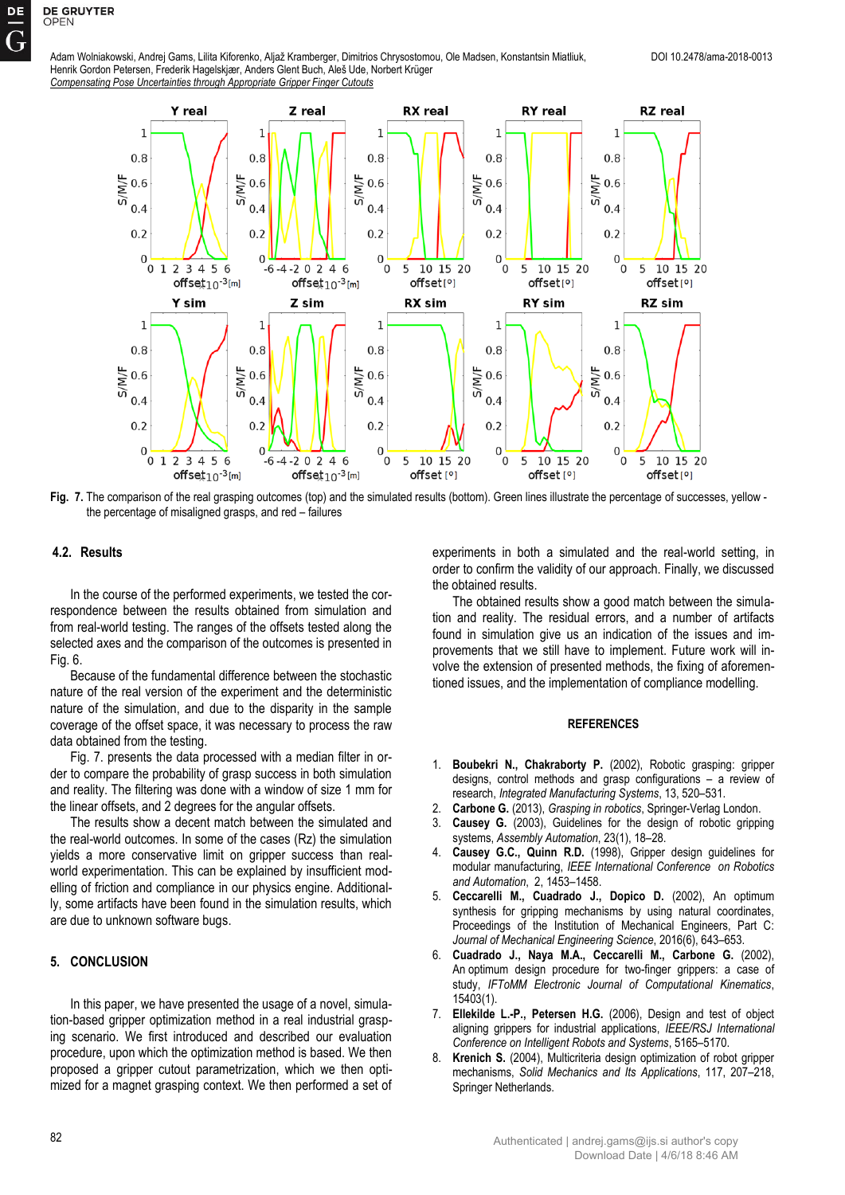**DE GRUYTER** 

OPEN



**Fig. 7.** The comparison of the real grasping outcomes (top) and the simulated results (bottom). Green lines illustrate the percentage of successes, yellow the percentage of misaligned grasps, and red – failures

## **4.2. Results**

In the course of the performed experiments, we tested the correspondence between the results obtained from simulation and from real-world testing. The ranges of the offsets tested along the selected axes and the comparison of the outcomes is presented in Fig. 6.

Because of the fundamental difference between the stochastic nature of the real version of the experiment and the deterministic nature of the simulation, and due to the disparity in the sample coverage of the offset space, it was necessary to process the raw data obtained from the testing.

Fig. 7. presents the data processed with a median filter in order to compare the probability of grasp success in both simulation and reality. The filtering was done with a window of size 1 mm for the linear offsets, and 2 degrees for the angular offsets.

The results show a decent match between the simulated and the real-world outcomes. In some of the cases (Rz) the simulation yields a more conservative limit on gripper success than realworld experimentation. This can be explained by insufficient modelling of friction and compliance in our physics engine. Additionally, some artifacts have been found in the simulation results, which are due to unknown software bugs.

# **5. CONCLUSION**

In this paper, we have presented the usage of a novel, simulation-based gripper optimization method in a real industrial grasping scenario. We first introduced and described our evaluation procedure, upon which the optimization method is based. We then proposed a gripper cutout parametrization, which we then optimized for a magnet grasping context. We then performed a set of experiments in both a simulated and the real-world setting, in order to confirm the validity of our approach. Finally, we discussed the obtained results.

The obtained results show a good match between the simulation and reality. The residual errors, and a number of artifacts found in simulation give us an indication of the issues and improvements that we still have to implement. Future work will involve the extension of presented methods, the fixing of aforementioned issues, and the implementation of compliance modelling.

#### **REFERENCES**

- 1. **Boubekri N., Chakraborty P.** (2002), Robotic grasping: gripper designs, control methods and grasp configurations – a review of research, *Integrated Manufacturing Systems*, 13, 520–531.
- 2. **Carbone G.** (2013), *Grasping in robotics*, Springer-Verlag London.
- 3. **Causey G.** (2003), Guidelines for the design of robotic gripping systems, *Assembly Automation*, 23(1), 18–28.
- 4. **Causey G.C., Quinn R.D.** (1998), Gripper design guidelines for modular manufacturing, *IEEE International Conference on Robotics and Automation*, 2, 1453–1458.
- 5. **Ceccarelli M., Cuadrado J., Dopico D.** (2002), An optimum synthesis for gripping mechanisms by using natural coordinates, Proceedings of the Institution of Mechanical Engineers, Part C: *Journal of Mechanical Engineering Science*, 2016(6), 643–653.
- 6. **Cuadrado J., Naya M.A., Ceccarelli M., Carbone G.** (2002), An optimum design procedure for two-finger grippers: a case of study, *IFToMM Electronic Journal of Computational Kinematics*, 15403(1).
- 7. **Ellekilde L.-P., Petersen H.G.** (2006), Design and test of object aligning grippers for industrial applications, *IEEE/RSJ International Conference on Intelligent Robots and Systems*, 5165–5170.
- 8. **Krenich S.** (2004), Multicriteria design optimization of robot gripper mechanisms, *Solid Mechanics and Its Applications*, 117, 207–218, Springer Netherlands.